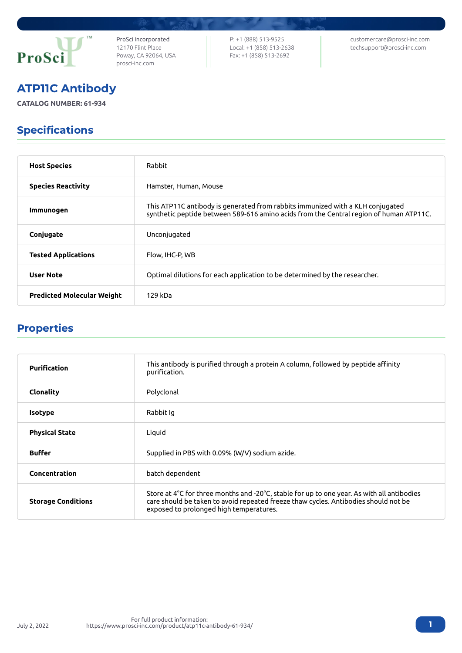

ProSci Incorporated 12170 Flint Place Poway, CA 92064, USA [prosci-inc.com](https://prosci-inc.com/)

P: +1 (888) 513-9525 Local: +1 (858) 513-2638 Fax: +1 (858) 513-2692

[customercare@prosci-inc.com](mailto:customercare@prosci-inc.com) [techsupport@prosci-inc.com](mailto:techsupport@prosci-inc.com)

## ATP11C Antibody

**CATALOG NUMBER: 61-934**

## Specifications

| <b>Host Species</b>               | Rabbit                                                                                                                                                                   |
|-----------------------------------|--------------------------------------------------------------------------------------------------------------------------------------------------------------------------|
| <b>Species Reactivity</b>         | Hamster, Human, Mouse                                                                                                                                                    |
| Immunogen                         | This ATP11C antibody is generated from rabbits immunized with a KLH conjugated<br>synthetic peptide between 589-616 amino acids from the Central region of human ATP11C. |
| Conjugate                         | Unconjugated                                                                                                                                                             |
| <b>Tested Applications</b>        | Flow, IHC-P, WB                                                                                                                                                          |
| <b>User Note</b>                  | Optimal dilutions for each application to be determined by the researcher.                                                                                               |
| <b>Predicted Molecular Weight</b> | 129 kDa                                                                                                                                                                  |

## Properties

| <b>Purification</b>       | This antibody is purified through a protein A column, followed by peptide affinity<br>purification.                                                                                                                          |
|---------------------------|------------------------------------------------------------------------------------------------------------------------------------------------------------------------------------------------------------------------------|
| Clonality                 | Polyclonal                                                                                                                                                                                                                   |
| <b>Isotype</b>            | Rabbit Iq                                                                                                                                                                                                                    |
| <b>Physical State</b>     | Liquid                                                                                                                                                                                                                       |
| <b>Buffer</b>             | Supplied in PBS with 0.09% (W/V) sodium azide.                                                                                                                                                                               |
| Concentration             | batch dependent                                                                                                                                                                                                              |
| <b>Storage Conditions</b> | Store at 4°C for three months and -20°C, stable for up to one year. As with all antibodies<br>care should be taken to avoid repeated freeze thaw cycles. Antibodies should not be<br>exposed to prolonged high temperatures. |